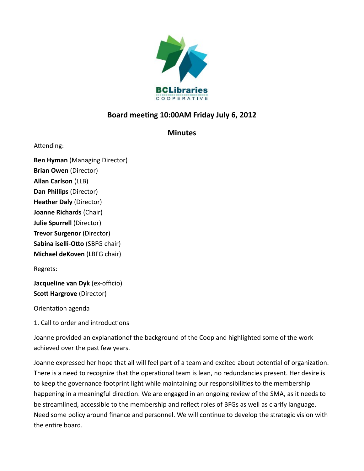

# **Board meeting 10:00AM Friday July 6, 2012**

## **Minutes**

Attending:

**Ben Hyman** (Managing Director) **Brian Owen** (Director) **Allan Carlson** (LLB) **Dan Phillips** (Director) **Heather Daly** (Director) **Joanne Richards** (Chair) **Julie Spurrell** (Director) **Trevor Surgenor** (Director) **Sabina iselli-Otto** (SBFG chair) **Michael deKoven** (LBFG chair)

Regrets:

**Jacqueline van Dyk** (ex-officio) **Scott Hargrove** (Director)

Orientation agenda

1. Call to order and introductions

Joanne provided an explanationof the background of the Coop and highlighted some of the work achieved over the past few years.

Joanne expressed her hope that all will feel part of a team and excited about potential of organization. There is a need to recognize that the operational team is lean, no redundancies present. Her desire is to keep the governance footprint light while maintaining our responsibilities to the membership happening in a meaningful direction. We are engaged in an ongoing review of the SMA, as it needs to be streamlined, accessible to the membership and reflect roles of BFGs as well as clarify language. Need some policy around finance and personnel. We will continue to develop the strategic vision with the entire board.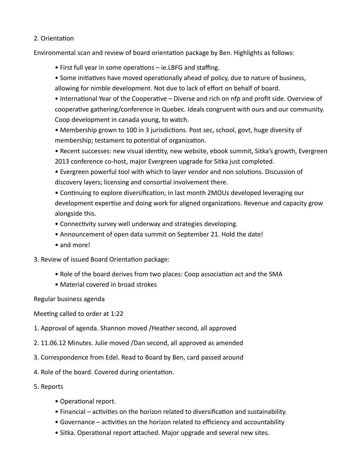#### 2. Orientation

Environmental scan and review of board orientation package by Ben. Highlights as follows:

- First full year in some operations ie.LBFG and staffing.
- Some initiatives have moved operationally ahead of policy, due to nature of business, allowing for nimble development. Not due to lack of effort on behalf of board.

• International Year of the Cooperative – Diverse and rich on nfp and profit side. Overview of cooperative gathering/conference in Quebec. Ideals congruent with ours and our community. Coop development in canada young, to watch.

• Membership grown to 100 in 3 jurisdictions. Post sec, school, govt, huge diversity of membership; testament to potential of organization.

• Recent successes: new visual identity, new website, ebook summit, Sitka's growth, Evergreen 2013 conference co-host, major Evergreen upgrade for Sitka just completed.

• Evergreen powerful tool with which to layer vendor and non solutions. Discussion of discovery layers; licensing and consortial involvement there.

• Continuing to explore diversification; in last month 2MOUs developed leveraging our development expertise and doing work for aligned organizations. Revenue and capacity grow alongside this.

- Connectivity survey well underway and strategies developing.
- Announcement of open data summit on September 21. Hold the date!
- and more!
- 3. Review of issued Board Orientation package:
	- Role of the board derives from two places: Coop association act and the SMA
	- Material covered in broad strokes

Regular business agenda

Meeting called to order at 1:22

- 1. Approval of agenda. Shannon moved /Heather second, all approved
- 2. 11.06.12 Minutes. Julie moved /Dan second, all approved as amended
- 3. Correspondence from Edel. Read to Board by Ben, card passed around
- 4. Role of the board. Covered during orientation.
- 5. Reports
	- Operational report.
	- Financial activities on the horizon related to diversification and sustainability.
	- Governance activities on the horizon related to efficiency and accountability
	- Sitka. Operational report attached. Major upgrade and several new sites.